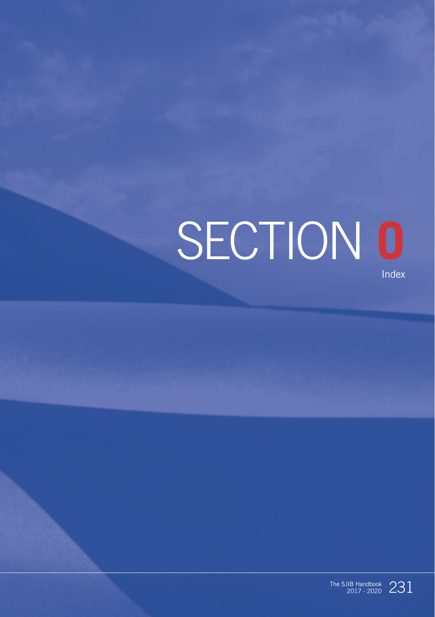# SECTION **O** Index

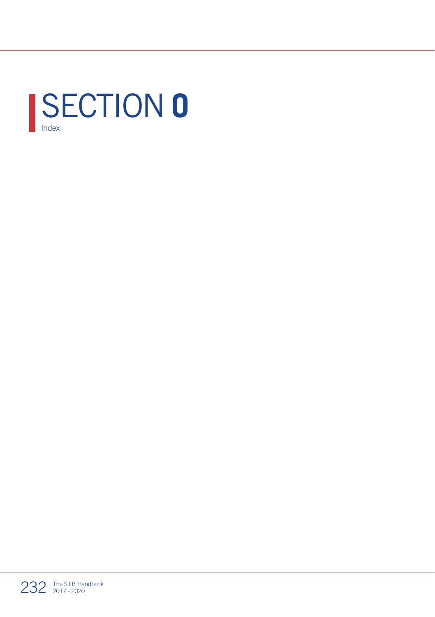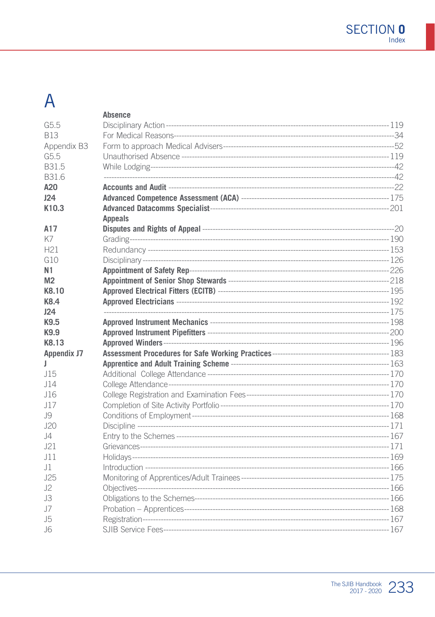# $\overline{A}$

|                   | Absence        |  |
|-------------------|----------------|--|
| G5.5              |                |  |
| <b>B13</b>        |                |  |
| Appendix B3       |                |  |
| G5.5              |                |  |
| <b>B315</b>       |                |  |
| B31.6             |                |  |
| A20               |                |  |
| 124               |                |  |
| K <sub>10.3</sub> |                |  |
|                   | <b>Appeals</b> |  |
| A17               |                |  |
| K7                |                |  |
| H <sub>21</sub>   |                |  |
| G10               |                |  |
| N <sub>1</sub>    |                |  |
| M <sub>2</sub>    |                |  |
| K8.10             |                |  |
| K8.4              |                |  |
| 124               |                |  |
| K9.5              |                |  |
| K9.9              |                |  |
| KR 13             |                |  |
| Appendix J7       |                |  |
| П                 |                |  |
| J15               |                |  |
| J14               |                |  |
| J16               |                |  |
| J17               |                |  |
| .19               |                |  |
| J20               |                |  |
| 4                 |                |  |
| 121               |                |  |
| J11               |                |  |
| $\pm$ 11          |                |  |
| J25               |                |  |
| .12               |                |  |
| J3                |                |  |
| .J7               |                |  |
| .15               |                |  |
| .16               |                |  |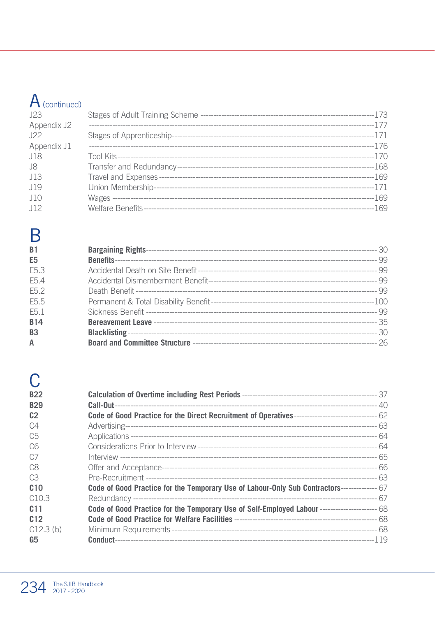# $A$  (continued)

| J23         |  |
|-------------|--|
| Appendix J2 |  |
| 122         |  |
| Appendix J1 |  |
| J18         |  |
| .18         |  |
| .113        |  |
| .119        |  |
| .110        |  |
| .112        |  |

### $\overline{B}$

| <b>B1</b>        |  |
|------------------|--|
| E <sub>5</sub>   |  |
| F <sub>5</sub> 3 |  |
| F <sub>54</sub>  |  |
| F <sub>52</sub>  |  |
| E5.5             |  |
| F <sub>5</sub> 1 |  |
| <b>B14</b>       |  |
| B <sub>3</sub>   |  |
| A                |  |

# $\overline{C}$

| <b>B22</b>      |                                                                                                    |  |
|-----------------|----------------------------------------------------------------------------------------------------|--|
| <b>B29</b>      |                                                                                                    |  |
| C <sub>2</sub>  |                                                                                                    |  |
| C <sub>4</sub>  |                                                                                                    |  |
| C <sub>5</sub>  |                                                                                                    |  |
| C <sub>6</sub>  |                                                                                                    |  |
| C <sub>7</sub>  |                                                                                                    |  |
| C <sub>8</sub>  |                                                                                                    |  |
| C <sub>3</sub>  |                                                                                                    |  |
| C10             | Code of Good Practice for the Temporary Use of Labour-Only Sub Contractors--------------- 67       |  |
| C10.3           |                                                                                                    |  |
| C <sub>11</sub> | Code of Good Practice for the Temporary Use of Self-Employed Labour --------------------------- 68 |  |
| C12             |                                                                                                    |  |
| C12.3(b)        |                                                                                                    |  |
| G5              |                                                                                                    |  |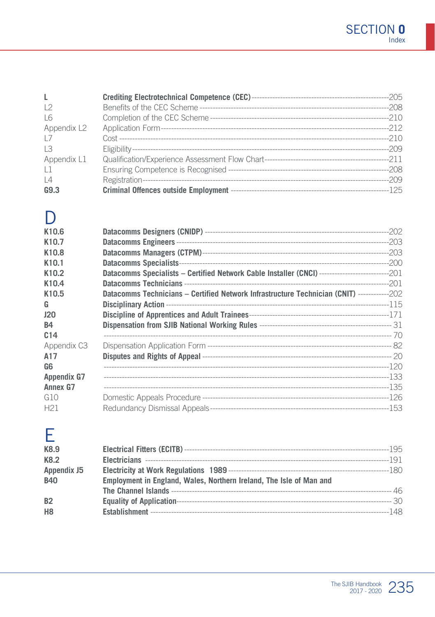| $\mathbf{L}$   |  |
|----------------|--|
| 12             |  |
| $\overline{6}$ |  |
| Appendix L2    |  |
| 17             |  |
| 13             |  |
| Appendix L1    |  |
| 1              |  |
| $\lfloor 4$    |  |
| G9.3           |  |

#### $\overline{D}$

| K10.6              |                                                                                                       |  |
|--------------------|-------------------------------------------------------------------------------------------------------|--|
| K <sub>10.7</sub>  |                                                                                                       |  |
| K10.8              |                                                                                                       |  |
| K <sub>10.1</sub>  |                                                                                                       |  |
| K <sub>10.2</sub>  | Datacomms Specialists - Certified Network Cable Installer (CNCI) ---------------------------------201 |  |
| K10.4              |                                                                                                       |  |
| K10.5              | <b>Datacomms Technicians - Certified Network Infrastructure Technician (CNIT)</b> -------------202    |  |
| G                  |                                                                                                       |  |
| 120                |                                                                                                       |  |
| <b>B4</b>          |                                                                                                       |  |
| C <sub>14</sub>    |                                                                                                       |  |
| Appendix C3        |                                                                                                       |  |
| A17                |                                                                                                       |  |
| G6                 |                                                                                                       |  |
| <b>Appendix G7</b> |                                                                                                       |  |
| Annex G7           |                                                                                                       |  |
| G10                |                                                                                                       |  |
| H <sub>21</sub>    |                                                                                                       |  |

### E

| K8.9<br>K8.2   |                                                                     |  |
|----------------|---------------------------------------------------------------------|--|
| Appendix J5    |                                                                     |  |
| <b>B40</b>     | Employment in England, Wales, Northern Ireland, The Isle of Man and |  |
|                |                                                                     |  |
| <b>B2</b>      |                                                                     |  |
| H <sub>8</sub> |                                                                     |  |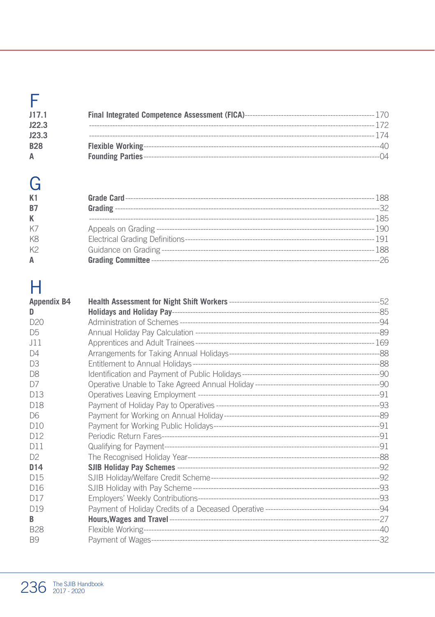| J17.1      |  |
|------------|--|
| J22.3      |  |
| J23.3      |  |
| <b>B28</b> |  |
| A          |  |

G  $K1$ **B7**  $\mathsf K$ K7

K8 K<sub>2</sub>  $\overline{A}$ 

# $\overline{\mathsf{H}}$

| <b>Appendix B4</b> |  |
|--------------------|--|
| D                  |  |
| D20                |  |
| D <sub>5</sub>     |  |
| .111               |  |
| D4                 |  |
| D.3                |  |
| D <sub>8</sub>     |  |
| D7                 |  |
| D13                |  |
| D <sub>18</sub>    |  |
| D6                 |  |
| D10                |  |
| D12                |  |
| D11                |  |
| D2                 |  |
| D <sub>14</sub>    |  |
| D <sub>15</sub>    |  |
| D <sub>16</sub>    |  |
| D <sub>17</sub>    |  |
| D <sub>19</sub>    |  |
| B                  |  |
| <b>B28</b>         |  |
| B <sub>9</sub>     |  |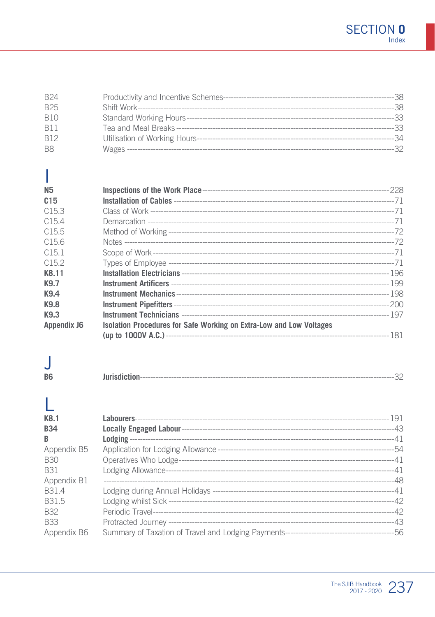| <b>B24</b>     | --38 |
|----------------|------|
| <b>B25</b>     | -38  |
| <b>B10</b>     | -33  |
| <b>B11</b>     | -33  |
| <b>B12</b>     | -34  |
| B <sub>8</sub> | -32  |

# Ī

| <b>N5</b>          |                                                                     |  |
|--------------------|---------------------------------------------------------------------|--|
| C15                |                                                                     |  |
| C15.3              |                                                                     |  |
| C154               |                                                                     |  |
| C15.5              |                                                                     |  |
| C156               |                                                                     |  |
| C151               |                                                                     |  |
| C152               |                                                                     |  |
| K8.11              |                                                                     |  |
| K9.7               |                                                                     |  |
| K9.4               |                                                                     |  |
| K9.8               |                                                                     |  |
| K9.3               |                                                                     |  |
| <b>Appendix J6</b> | Isolation Procedures for Safe Working on Extra-Low and Low Voltages |  |
|                    |                                                                     |  |

#### $\overline{\mathsf{J}}$ **B6**

| .<br>Jurisdiction |
|-------------------|
|-------------------|

#### Ī

| K8.1              |  |
|-------------------|--|
| <b>B34</b>        |  |
| B                 |  |
| Appendix B5       |  |
| B30               |  |
| <b>B31</b>        |  |
| Appendix B1       |  |
| B <sub>31</sub> 4 |  |
| B <sub>315</sub>  |  |
| B <sub>32</sub>   |  |
| <b>B33</b>        |  |
| Appendix B6       |  |
|                   |  |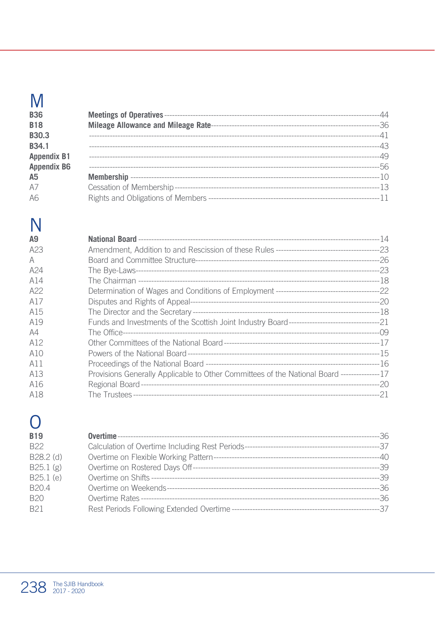# M

| <b>B36</b>         |  |
|--------------------|--|
| <b>B18</b>         |  |
| B30.3              |  |
| B <sub>34.1</sub>  |  |
| <b>Appendix B1</b> |  |
| <b>Appendix B6</b> |  |
| A <sub>5</sub>     |  |
| A7                 |  |
| A6                 |  |

# $\overline{\mathsf{N}}$

| A9  |                                                                                             |  |
|-----|---------------------------------------------------------------------------------------------|--|
| A23 |                                                                                             |  |
| A   |                                                                                             |  |
| A24 |                                                                                             |  |
| A14 |                                                                                             |  |
| A22 |                                                                                             |  |
| A17 |                                                                                             |  |
| A15 |                                                                                             |  |
| A19 |                                                                                             |  |
| AA  |                                                                                             |  |
| A12 |                                                                                             |  |
| A10 |                                                                                             |  |
| A11 |                                                                                             |  |
| A13 | Provisions Generally Applicable to Other Committees of the National Board ---------------17 |  |
| A16 |                                                                                             |  |
| A18 |                                                                                             |  |

# $\overline{O}$

| <b>B19</b>        |  |
|-------------------|--|
| <b>B22</b>        |  |
| B28.2 (d)         |  |
| B25.1(g)          |  |
| B25.1 (e)         |  |
| B <sub>20.4</sub> |  |
| <b>B20</b>        |  |
| B <sub>21</sub>   |  |
|                   |  |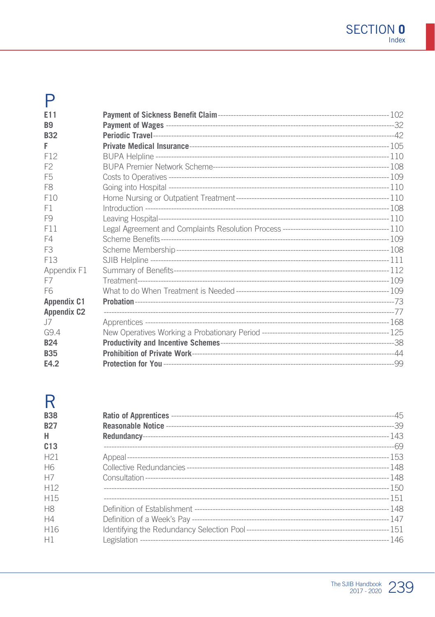# $P_{\text{eff}}$

| F11                |  |
|--------------------|--|
| B <sub>9</sub>     |  |
| <b>B32</b>         |  |
| F                  |  |
| F12                |  |
| F <sub>2</sub>     |  |
| F <sub>5</sub>     |  |
| F <sub>8</sub>     |  |
| F10                |  |
| F1                 |  |
| F9                 |  |
| F11                |  |
| F4                 |  |
| F <sub>3</sub>     |  |
| F <sub>13</sub>    |  |
| Appendix F1        |  |
| F7                 |  |
| F <sub>6</sub>     |  |
| <b>Appendix C1</b> |  |
| <b>Appendix C2</b> |  |
| .J7                |  |
| G9.4               |  |
| <b>B24</b>         |  |
| <b>B35</b>         |  |
| E4.2               |  |

#### R

| <b>B38</b><br><b>B27</b><br>H<br>C13 |  |
|--------------------------------------|--|
| H <sub>21</sub>                      |  |
| H6                                   |  |
| H7                                   |  |
| H <sub>12</sub>                      |  |
| H <sub>15</sub>                      |  |
| <b>H8</b>                            |  |
| H4                                   |  |
| H <sub>16</sub>                      |  |
| H1                                   |  |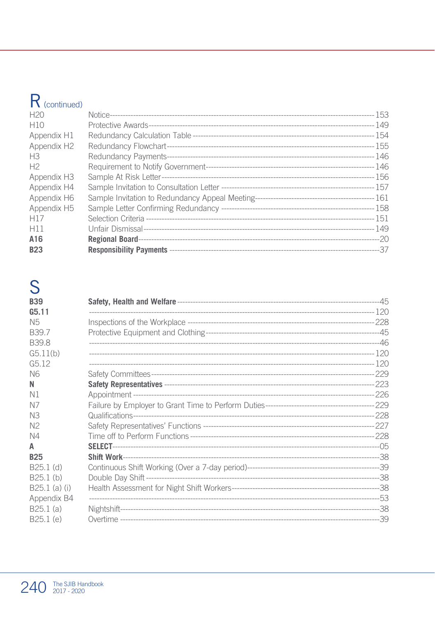# R (continued)

| H20                     |  |
|-------------------------|--|
| H10                     |  |
| Appendix H1             |  |
| Appendix H <sub>2</sub> |  |
| H <sub>3</sub>          |  |
| H <sup>2</sup>          |  |
| Appendix H3             |  |
| Appendix H4             |  |
| Appendix H6             |  |
| Appendix H5             |  |
| H <sub>17</sub>         |  |
| H11                     |  |
| A16                     |  |
| <b>B23</b>              |  |

# S

| <b>B39</b>        |  |
|-------------------|--|
| G5.11             |  |
| N <sub>5</sub>    |  |
| B <sub>39.7</sub> |  |
| B39.8             |  |
| G5.11(b)          |  |
| G5.12             |  |
| N6                |  |
| N                 |  |
| N1                |  |
| N7                |  |
| N <sub>3</sub>    |  |
| N <sub>2</sub>    |  |
| N4                |  |
| A                 |  |
| <b>B25</b>        |  |
| $B25.1$ (d)       |  |
| $B25.1$ (b)       |  |
| $B25.1$ (a) (i)   |  |
| Appendix B4       |  |
| B25.1(a)          |  |
| B25.1 (e)         |  |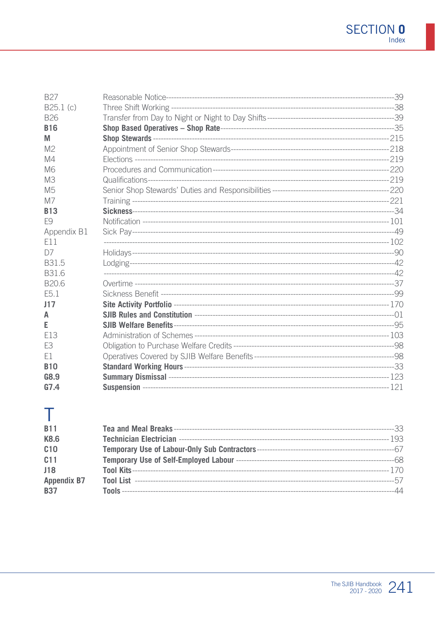| <b>B27</b>       |  |
|------------------|--|
| B25.1(c)         |  |
| <b>B26</b>       |  |
| <b>B16</b>       |  |
| M                |  |
| M <sup>2</sup>   |  |
| M4               |  |
| M <sub>6</sub>   |  |
| M <sub>3</sub>   |  |
| M <sub>5</sub>   |  |
| M7               |  |
| R <sub>13</sub>  |  |
| F9               |  |
| Appendix B1      |  |
| F11              |  |
| D7               |  |
| B <sub>315</sub> |  |
| B <sub>316</sub> |  |
| B <sub>206</sub> |  |
| E <sub>5.1</sub> |  |
| 117              |  |
| А                |  |
| Е                |  |
| F <sub>13</sub>  |  |
| F <sub>3</sub>   |  |
| E1               |  |
| <b>B10</b>       |  |
| G8.9             |  |
| G7.4             |  |

# $\top$

| <b>B11</b>         |  |
|--------------------|--|
| K8.6               |  |
| C10                |  |
| C <sub>11</sub>    |  |
| J18                |  |
| <b>Appendix B7</b> |  |
| <b>B37</b>         |  |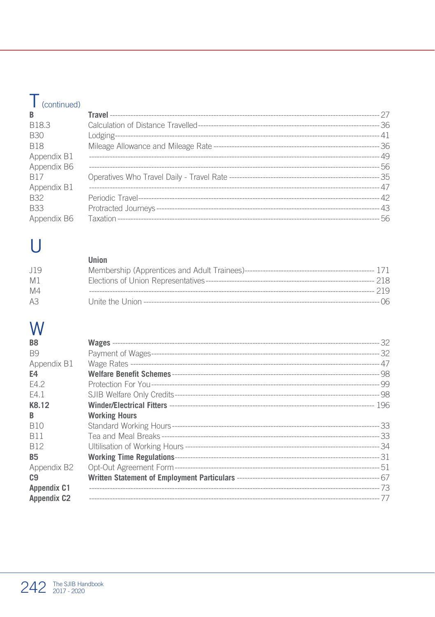# $\mathsf T$  (continued)

| B               |  |
|-----------------|--|
| B18.3           |  |
| <b>B30</b>      |  |
| <b>B18</b>      |  |
| Appendix B1     |  |
| Appendix B6     |  |
| R <sub>17</sub> |  |
| Appendix B1     |  |
| <b>B32</b>      |  |
| <b>B33</b>      |  |
| Appendix B6     |  |

# $\bigcup$

|                | Union |       |
|----------------|-------|-------|
| .119           |       |       |
| M <sub>1</sub> |       |       |
| M4             |       | 219   |
| A3             |       | - 06. |

# W

| B <sub>8</sub>     |                      |  |
|--------------------|----------------------|--|
| B <sub>9</sub>     |                      |  |
| Appendix B1        |                      |  |
| E4                 |                      |  |
| F4 2               |                      |  |
| F4 1               |                      |  |
| K8.12              |                      |  |
| B                  | <b>Working Hours</b> |  |
| <b>B10</b>         |                      |  |
| <b>B11</b>         |                      |  |
| <b>B12</b>         |                      |  |
| <b>B5</b>          |                      |  |
| Appendix B2        |                      |  |
| C9                 |                      |  |
| <b>Appendix C1</b> |                      |  |
| <b>Appendix C2</b> |                      |  |